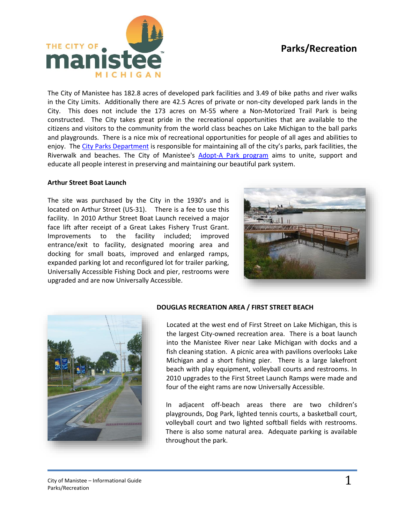# **Parks/Recreation**



The City of Manistee has 182.8 acres of developed park facilities and 3.49 of bike paths and river walks in the City Limits. Additionally there are 42.5 Acres of private or non-city developed park lands in the City. This does not include the 173 acres on M-55 where a Non-Motorized Trail Park is being constructed. The City takes great pride in the recreational opportunities that are available to the citizens and visitors to the community from the world class beaches on Lake Michigan to the ball parks and playgrounds. There is a nice mix of recreational opportunities for people of all ages and abilities to enjoy. The [City Parks Department](http://manisteemi.gov/index.aspx?nid=135) is responsible for maintaining all of the city's parks, park facilities, the Riverwalk and beaches. The City of Manistee's [Adopt-A Park program](http://manisteemi.gov/DocumentCenter/View/1652) aims to unite, support and educate all people interest in preserving and maintaining our beautiful park system.

## **Arthur Street Boat Launch**

The site was purchased by the City in the 1930's and is located on Arthur Street (US-31). There is a fee to use this facility. In 2010 Arthur Street Boat Launch received a major face lift after receipt of a Great Lakes Fishery Trust Grant. Improvements to the facility included; improved entrance/exit to facility, designated mooring area and docking for small boats, improved and enlarged ramps, expanded parking lot and reconfigured lot for trailer parking, Universally Accessible Fishing Dock and pier, restrooms were upgraded and are now Universally Accessible.





# **DOUGLAS RECREATION AREA / FIRST STREET BEACH**

Located at the west end of First Street on Lake Michigan, this is the largest City-owned recreation area. There is a boat launch into the Manistee River near Lake Michigan with docks and a fish cleaning station. A picnic area with pavilions overlooks Lake Michigan and a short fishing pier. There is a large lakefront beach with play equipment, volleyball courts and restrooms. In 2010 upgrades to the First Street Launch Ramps were made and four of the eight rams are now Universally Accessible.

In adjacent off-beach areas there are two children's playgrounds, Dog Park, lighted tennis courts, a basketball court, volleyball court and two lighted softball fields with restrooms. There is also some natural area. Adequate parking is available throughout the park.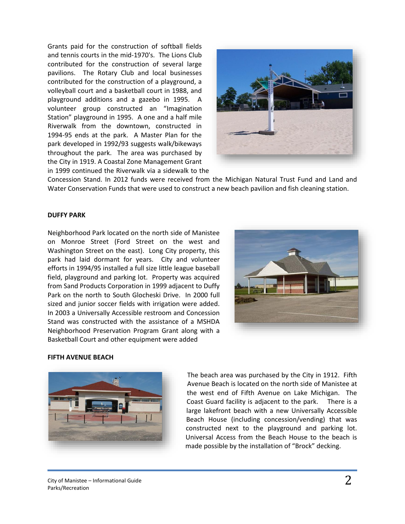Grants paid for the construction of softball fields and tennis courts in the mid-1970's. The Lions Club contributed for the construction of several large pavilions. The Rotary Club and local businesses contributed for the construction of a playground, a volleyball court and a basketball court in 1988, and playground additions and a gazebo in 1995. A volunteer group constructed an "Imagination Station" playground in 1995. A one and a half mile Riverwalk from the downtown, constructed in 1994-95 ends at the park. A Master Plan for the park developed in 1992/93 suggests walk/bikeways throughout the park. The area was purchased by the City in 1919. A Coastal Zone Management Grant in 1999 continued the Riverwalk via a sidewalk to the



Concession Stand. In 2012 funds were received from the Michigan Natural Trust Fund and Land and Water Conservation Funds that were used to construct a new beach pavilion and fish cleaning station.

# **DUFFY PARK**

Neighborhood Park located on the north side of Manistee on Monroe Street (Ford Street on the west and Washington Street on the east). Long City property, this park had laid dormant for years. City and volunteer efforts in 1994/95 installed a full size little league baseball field, playground and parking lot. Property was acquired from Sand Products Corporation in 1999 adjacent to Duffy Park on the north to South Glocheski Drive. In 2000 full sized and junior soccer fields with irrigation were added. In 2003 a Universally Accessible restroom and Concession Stand was constructed with the assistance of a MSHDA Neighborhood Preservation Program Grant along with a Basketball Court and other equipment were added



## **FIFTH AVENUE BEACH**



The beach area was purchased by the City in 1912. Fifth Avenue Beach is located on the north side of Manistee at the west end of Fifth Avenue on Lake Michigan. The Coast Guard facility is adjacent to the park. There is a large lakefront beach with a new Universally Accessible Beach House (including concession/vending) that was constructed next to the playground and parking lot. Universal Access from the Beach House to the beach is made possible by the installation of "Brock" decking.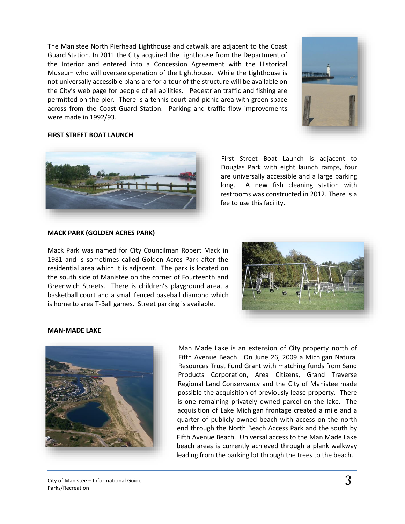The Manistee North Pierhead Lighthouse and catwalk are adjacent to the Coast Guard Station. In 2011 the City acquired the Lighthouse from the Department of the Interior and entered into a Concession Agreement with the Historical Museum who will oversee operation of the Lighthouse. While the Lighthouse is not universally accessible plans are for a tour of the structure will be available on the City's web page for people of all abilities. Pedestrian traffic and fishing are permitted on the pier. There is a tennis court and picnic area with green space across from the Coast Guard Station. Parking and traffic flow improvements were made in 1992/93.



## **FIRST STREET BOAT LAUNCH**



First Street Boat Launch is adjacent to Douglas Park with eight launch ramps, four are universally accessible and a large parking long. A new fish cleaning station with restrooms was constructed in 2012. There is a fee to use this facility.

## **MACK PARK (GOLDEN ACRES PARK)**

Mack Park was named for City Councilman Robert Mack in 1981 and is sometimes called Golden Acres Park after the residential area which it is adjacent. The park is located on the south side of Manistee on the corner of Fourteenth and Greenwich Streets. There is children's playground area, a basketball court and a small fenced baseball diamond which is home to area T-Ball games. Street parking is available.



#### **MAN-MADE LAKE**



Man Made Lake is an extension of City property north of Fifth Avenue Beach. On June 26, 2009 a Michigan Natural Resources Trust Fund Grant with matching funds from Sand Products Corporation, Area Citizens, Grand Traverse Regional Land Conservancy and the City of Manistee made possible the acquisition of previously lease property. There is one remaining privately owned parcel on the lake. The acquisition of Lake Michigan frontage created a mile and a quarter of publicly owned beach with access on the north end through the North Beach Access Park and the south by Fifth Avenue Beach. Universal access to the Man Made Lake beach areas is currently achieved through a plank walkway leading from the parking lot through the trees to the beach.

City of Manistee – Informational Guide Parks/Recreation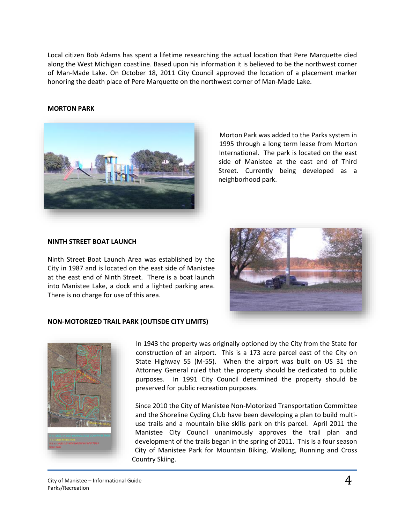Local citizen Bob Adams has spent a lifetime researching the actual location that Pere Marquette died along the West Michigan coastline. Based upon his information it is believed to be the northwest corner of Man‐Made Lake. On October 18, 2011 City Council approved the location of a placement marker honoring the death place of Pere Marquette on the northwest corner of Man‐Made Lake.

# **MORTON PARK**



Morton Park was added to the Parks system in 1995 through a long term lease from Morton International. The park is located on the east side of Manistee at the east end of Third Street. Currently being developed as a neighborhood park.

# **NINTH STREET BOAT LAUNCH**

Ninth Street Boat Launch Area was established by the City in 1987 and is located on the east side of Manistee at the east end of Ninth Street. There is a boat launch into Manistee Lake, a dock and a lighted parking area. There is no charge for use of this area.



# **NON-MOTORIZED TRAIL PARK (OUTISDE CITY LIMITS)**



In 1943 the property was originally optioned by the City from the State for construction of an airport. This is a 173 acre parcel east of the City on State Highway 55 (M-55). When the airport was built on US 31 the Attorney General ruled that the property should be dedicated to public purposes. In 1991 City Council determined the property should be preserved for public recreation purposes.

Since 2010 the City of Manistee Non-Motorized Transportation Committee and the Shoreline Cycling Club have been developing a plan to build multiuse trails and a mountain bike skills park on this parcel. April 2011 the Manistee City Council unanimously approves the trail plan and development of the trails began in the spring of 2011. This is a four season City of Manistee Park for Mountain Biking, Walking, Running and Cross Country Skiing.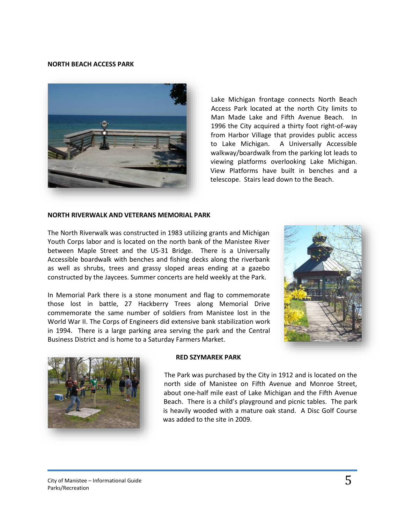#### **NORTH BEACH ACCESS PARK**



Lake Michigan frontage connects North Beach Access Park located at the north City limits to Man Made Lake and Fifth Avenue Beach. In 1996 the City acquired a thirty foot right-of-way from Harbor Village that provides public access to Lake Michigan. A Universally Accessible walkway/boardwalk from the parking lot leads to viewing platforms overlooking Lake Michigan. View Platforms have built in benches and a telescope. Stairs lead down to the Beach.

#### **NORTH RIVERWALK AND VETERANS MEMORIAL PARK**

The North Riverwalk was constructed in 1983 utilizing grants and Michigan Youth Corps labor and is located on the north bank of the Manistee River between Maple Street and the US-31 Bridge. There is a Universally Accessible boardwalk with benches and fishing decks along the riverbank as well as shrubs, trees and grassy sloped areas ending at a gazebo constructed by the Jaycees. Summer concerts are held weekly at the Park.

In Memorial Park there is a stone monument and flag to commemorate those lost in battle, 27 Hackberry Trees along Memorial Drive commemorate the same number of soldiers from Manistee lost in the World War II. The Corps of Engineers did extensive bank stabilization work in 1994. There is a large parking area serving the park and the Central Business District and is home to a Saturday Farmers Market.





## **RED SZYMAREK PARK**

The Park was purchased by the City in 1912 and is located on the north side of Manistee on Fifth Avenue and Monroe Street, about one-half mile east of Lake Michigan and the Fifth Avenue Beach. There is a child's playground and picnic tables. The park is heavily wooded with a mature oak stand. A Disc Golf Course was added to the site in 2009.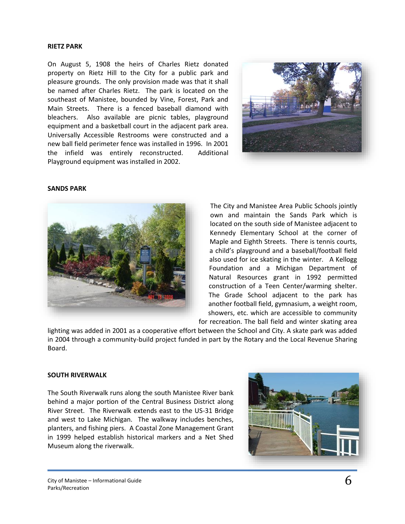### **RIETZ PARK**

On August 5, 1908 the heirs of Charles Rietz donated property on Rietz Hill to the City for a public park and pleasure grounds. The only provision made was that it shall be named after Charles Rietz. The park is located on the southeast of Manistee, bounded by Vine, Forest, Park and Main Streets. There is a fenced baseball diamond with bleachers. Also available are picnic tables, playground equipment and a basketball court in the adjacent park area. Universally Accessible Restrooms were constructed and a new ball field perimeter fence was installed in 1996. In 2001 the infield was entirely reconstructed. Additional Playground equipment was installed in 2002.



#### **SANDS PARK**



The City and Manistee Area Public Schools jointly own and maintain the Sands Park which is located on the south side of Manistee adjacent to Kennedy Elementary School at the corner of Maple and Eighth Streets. There is tennis courts, a child's playground and a baseball/football field also used for ice skating in the winter. A Kellogg Foundation and a Michigan Department of Natural Resources grant in 1992 permitted construction of a Teen Center/warming shelter. The Grade School adjacent to the park has another football field, gymnasium, a weight room, showers, etc. which are accessible to community for recreation. The ball field and winter skating area

lighting was added in 2001 as a cooperative effort between the School and City. A skate park was added in 2004 through a community-build project funded in part by the Rotary and the Local Revenue Sharing Board.

### **SOUTH RIVERWALK**

The South Riverwalk runs along the south Manistee River bank behind a major portion of the Central Business District along River Street. The Riverwalk extends east to the US-31 Bridge and west to Lake Michigan. The walkway includes benches, planters, and fishing piers. A Coastal Zone Management Grant in 1999 helped establish historical markers and a Net Shed Museum along the riverwalk.